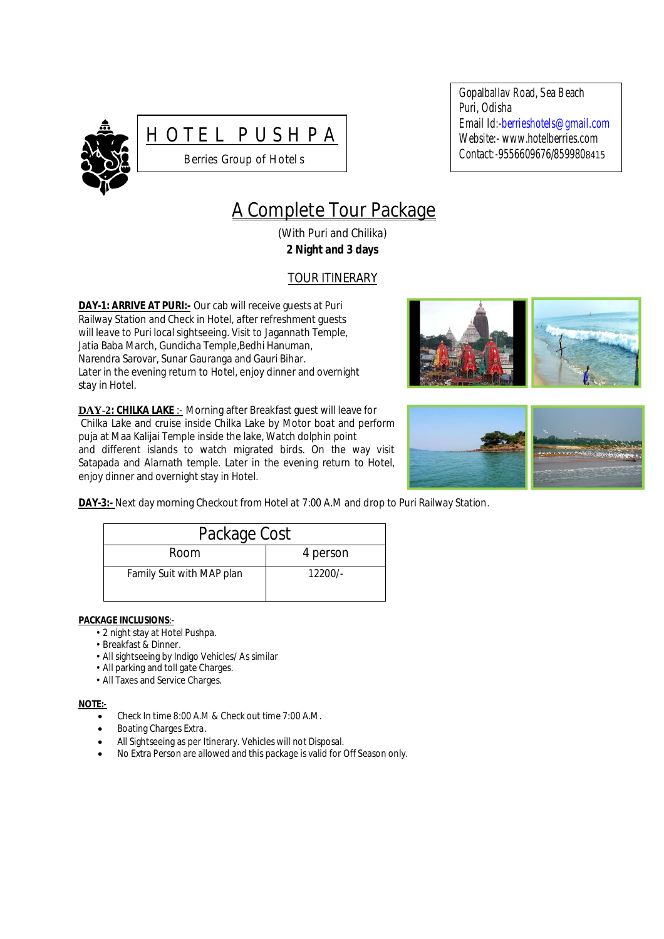



Gopalballav Road, Sea Beach Puri, Odisha Email Id:-berrieshotels@gmail.com Website:- www.hotelberries.com Contact*:-*9556609676/8599808415

# A Complete Tour Package

(With Puri and Chilika) **2 Night and 3 days**

# TOUR ITINERARY

**DAY-1: ARRIVE AT PURI:-** Our cab will receive guests at Puri Railway Station and Check in Hotel, after refreshment guests will leave to Puri local sightseeing. Visit to Jagannath Temple, Jatia Baba March, Gundicha Temple,Bedhi Hanuman, Narendra Sarovar, Sunar Gauranga and Gauri Bihar. Later in the evening return to Hotel, enjoy dinner and overnight stay in Hotel*.*

**DAY-2: CHILKA LAKE** :- Morning after Breakfast guest will leave for Chilka Lake and cruise inside Chilka Lake by Motor boat and perform puja at Maa Kalijai Temple inside the lake, Watch dolphin point and different islands to watch migrated birds. On the way visit Satapada and Alarnath temple. Later in the evening return to Hotel, enjoy dinner and overnight stay in Hotel.





**DAY-3:-** Next day morning Checkout from Hotel at 7:00 A.M and drop to Puri Railway Station.

| Package Cost              |           |
|---------------------------|-----------|
| Room                      | 4 person  |
| Family Suit with MAP plan | $12200/-$ |

## **PACKAGE INCLUSIONS**:-

- 2 night stay at Hotel Pushpa.
- Breakfast & Dinner.
- All sightseeing by Indigo Vehicles/ As similar
- All parking and toll gate Charges.
- All Taxes and Service Charges.

#### **NOTE:**-

- Check In time 8:00 A.M & Check out time 7:00 A.M.
- Boating Charges Extra.
- All Sightseeing as per Itinerary. Vehicles will not Disposal.
- No Extra Person are allowed and this package is valid for Off Season only.